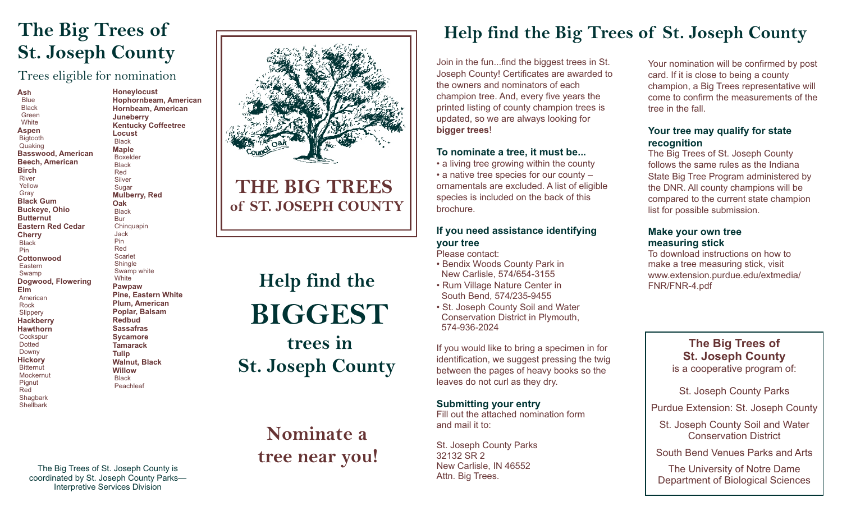### **The Big Trees of St. Joseph County**

Trees eligible for nomination

**Ash** Blue Black Green **White Aspen** Bigtooth Quaking **Basswood, American Beech, American Birch** River Yellow Gray **Black Gum Buckeye, Ohio Butternut Eastern Red Cedar Cherry Black**  Pin **Cottonwood** Eastern Swamp **Dogwood, Flowering Elm** American Rock **Slippery Hackberry Hawthorn Cockspur**  Dotted Downy **Hickory Bitternut Mockernut**  Pignut Red **Shagbark Shellbark** 

**Honeylocust Hophornbeam, American Hornbeam, American Juneberry Kentucky Coffeetree Locust Black Maple** Boxelder **Black**  Red Silver **Sugar Mulberry, Red Oak** Black Bur **Chinquapin**  Jack Pin Red **Scarlet Shingle**  Swamp white **White Pawpaw Pine, Eastern White Plum, American Poplar, Balsam Redbud Sassafras Sycamore Tamarack**

**Tulip Walnut, Black Willow Black Peachleaf** 

The Big Trees of St. Joseph County is coordinated by St. Joseph County Parks— Interpretive Services Division



### **THE BIG TREES of ST. JOSEPH COUNTY**

# **Help find the BIGGEST trees in**

## **St. Joseph County**

### **Nominate a tree near you!**

### **Help find the Big Trees of St. Joseph County**

Join in the fun...find the biggest trees in St. Joseph County! Certificates are awarded to the owners and nominators of each champion tree. And, every five years the printed listing of county champion trees is updated, so we are always looking for **bigger trees**!

#### **To nominate a tree, it must be...**

• a living tree growing within the county • a native tree species for our county – ornamentals are excluded. A list of eligible species is included on the back of this brochure.

#### **If you need assistance identifying your tree**

Please contact:

• Bendix Woods County Park in New Carlisle, 574/654-3155

• Rum Village Nature Center in South Bend, 574/235-9455

• St. Joseph County Soil and Water Conservation District in Plymouth, 574-936-2024

If you would like to bring a specimen in for identification, we suggest pressing the twig between the pages of heavy books so the leaves do not curl as they dry.

#### **Submitting your entry**

Fill out the attached nomination form and mail it to:

St. Joseph County Parks 32132 SR 2 New Carlisle, IN 46552 Attn. Big Trees.

Your nomination will be confirmed by post card. If it is close to being a county champion, a Big Trees representative will come to confirm the measurements of the tree in the fall.

#### **Your tree may qualify for state recognition**

The Big Trees of St. Joseph County follows the same rules as the Indiana State Big Tree Program administered by the DNR. All county champions will be compared to the current state champion list for possible submission.

#### **Make your own tree measuring stick**

To download instructions on how to make a tree measuring stick, visit www.extension.purdue.edu/extmedia/ FNR/FNR-4.pdf

> **The Big Trees of St. Joseph County** is a cooperative program of:

St. Joseph County Parks

Purdue Extension: St. Joseph County

St. Joseph County Soil and Water Conservation District

South Bend Venues Parks and Arts

The University of Notre Dame Department of Biological Sciences